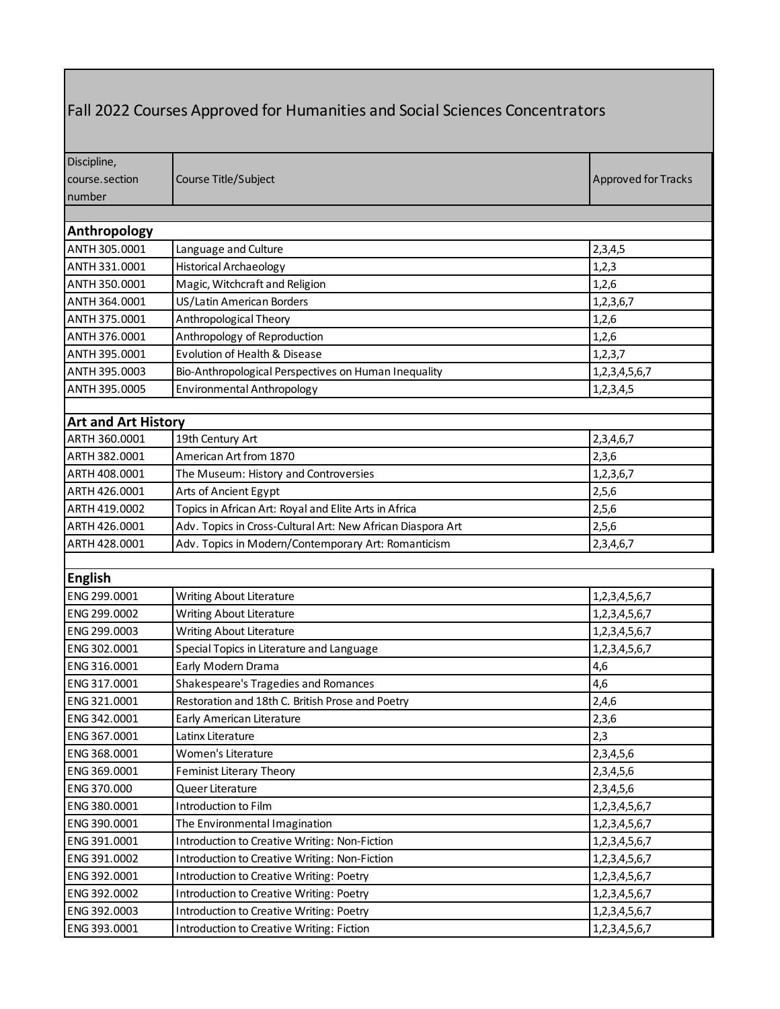## Fall 2022 Courses Approved for Humanities and Social Sciences Concentrators

| Discipline,                |                                                             |                            |
|----------------------------|-------------------------------------------------------------|----------------------------|
| course.section             | Course Title/Subject                                        | <b>Approved for Tracks</b> |
| number                     |                                                             |                            |
|                            |                                                             |                            |
| Anthropology               |                                                             |                            |
| ANTH 305.0001              | Language and Culture                                        | 2,3,4,5                    |
| ANTH 331.0001              | <b>Historical Archaeology</b>                               | 1,2,3                      |
| ANTH 350.0001              | Magic, Witchcraft and Religion                              | 1,2,6                      |
| ANTH 364.0001              | US/Latin American Borders                                   | 1,2,3,6,7                  |
| ANTH 375.0001              | Anthropological Theory                                      | 1,2,6                      |
| ANTH 376.0001              | Anthropology of Reproduction                                | 1,2,6                      |
| ANTH 395.0001              | Evolution of Health & Disease                               | 1,2,3,7                    |
| ANTH 395.0003              | Bio-Anthropological Perspectives on Human Inequality        | 1,2,3,4,5,6,7              |
| ANTH 395.0005              | Environmental Anthropology                                  | 1,2,3,4,5                  |
|                            |                                                             |                            |
| <b>Art and Art History</b> |                                                             |                            |
| ARTH 360.0001              | 19th Century Art                                            | 2,3,4,6,7                  |
| ARTH 382.0001              | American Art from 1870                                      | 2,3,6                      |
| ARTH 408.0001              | The Museum: History and Controversies                       | 1,2,3,6,7                  |
| ARTH 426.0001              | Arts of Ancient Egypt                                       | 2,5,6                      |
| ARTH 419.0002              | Topics in African Art: Royal and Elite Arts in Africa       | 2,5,6                      |
| ARTH 426.0001              | Adv. Topics in Cross-Cultural Art: New African Diaspora Art | 2,5,6                      |
| ARTH 428.0001              | Adv. Topics in Modern/Contemporary Art: Romanticism         | 2,3,4,6,7                  |
|                            |                                                             |                            |
| <b>English</b>             |                                                             |                            |
| ENG 299.0001               | Writing About Literature                                    | 1,2,3,4,5,6,7              |
| ENG 299.0002               | Writing About Literature                                    | 1,2,3,4,5,6,7              |
| ENG 299.0003               | Writing About Literature                                    | 1,2,3,4,5,6,7              |
| ENG 302.0001               | Special Topics in Literature and Language                   | 1,2,3,4,5,6,7              |
| ENG 316.0001               | Early Modern Drama                                          | 4,6                        |
| ENG 317.0001               | Shakespeare's Tragedies and Romances                        | 4,6                        |
| ENG 321.0001               | Restoration and 18th C. British Prose and Poetry            | 2,4,6                      |
| ENG 342.0001               | Early American Literature                                   | 2,3,6                      |
| ENG 367.0001               | Latinx Literature                                           | 2,3                        |
| ENG 368.0001               | Women's Literature                                          | 2,3,4,5,6                  |
| ENG 369.0001               | Feminist Literary Theory                                    | 2,3,4,5,6                  |
| ENG 370.000                | Queer Literature                                            | 2,3,4,5,6                  |
| ENG 380.0001               | Introduction to Film                                        | 1,2,3,4,5,6,7              |
| ENG 390.0001               | The Environmental Imagination                               | 1, 2, 3, 4, 5, 6, 7        |
| ENG 391.0001               | Introduction to Creative Writing: Non-Fiction               | 1,2,3,4,5,6,7              |
| ENG 391.0002               | Introduction to Creative Writing: Non-Fiction               | 1, 2, 3, 4, 5, 6, 7        |
| ENG 392.0001               | Introduction to Creative Writing: Poetry                    | 1,2,3,4,5,6,7              |
| ENG 392.0002               | Introduction to Creative Writing: Poetry                    | 1,2,3,4,5,6,7              |
| ENG 392.0003               | Introduction to Creative Writing: Poetry                    | 1, 2, 3, 4, 5, 6, 7        |
| ENG 393.0001               | Introduction to Creative Writing: Fiction                   | 1, 2, 3, 4, 5, 6, 7        |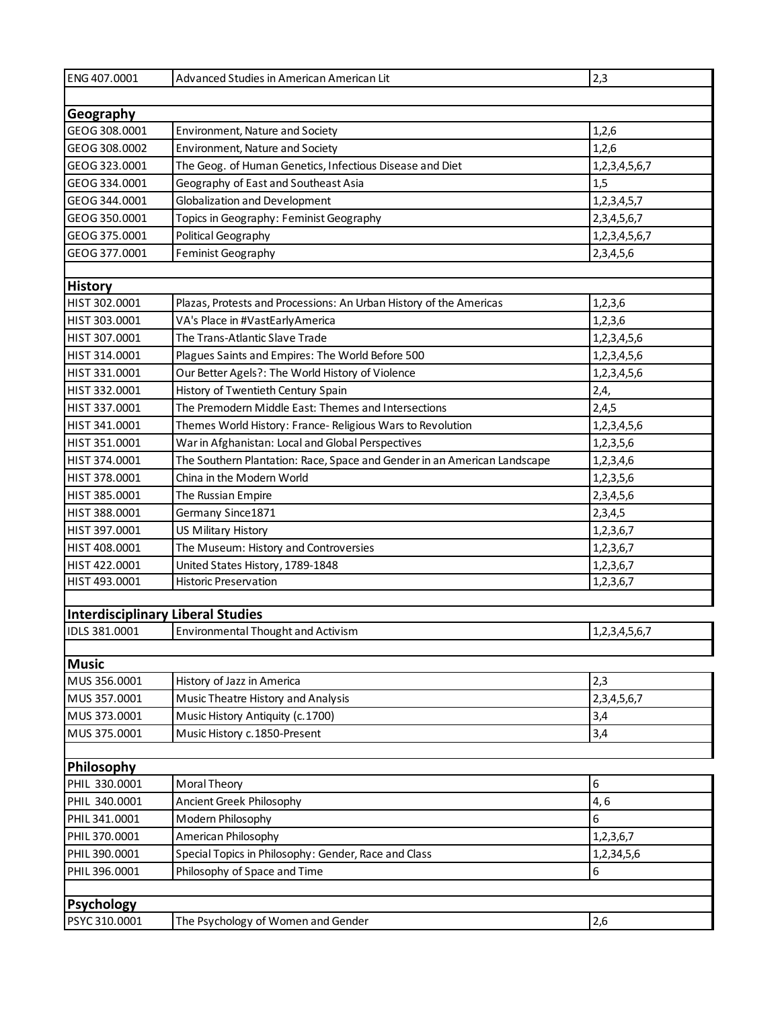| ENG 407.0001                             | Advanced Studies in American American Lit                                | 2,3              |
|------------------------------------------|--------------------------------------------------------------------------|------------------|
|                                          |                                                                          |                  |
| Geography                                |                                                                          |                  |
| GEOG 308.0001                            | Environment, Nature and Society                                          | 1,2,6            |
| GEOG 308.0002                            | Environment, Nature and Society                                          | 1,2,6            |
| GEOG 323.0001                            | The Geog. of Human Genetics, Infectious Disease and Diet                 | 1,2,3,4,5,6,7    |
| GEOG 334.0001                            | Geography of East and Southeast Asia                                     | 1,5              |
| GEOG 344.0001                            | Globalization and Development                                            | 1, 2, 3, 4, 5, 7 |
| GEOG 350.0001                            | Topics in Geography: Feminist Geography                                  | 2, 3, 4, 5, 6, 7 |
| GEOG 375.0001                            | Political Geography                                                      | 1,2,3,4,5,6,7    |
| GEOG 377.0001                            | Feminist Geography                                                       | 2,3,4,5,6        |
|                                          |                                                                          |                  |
| <b>History</b>                           |                                                                          |                  |
| HIST 302.0001                            | Plazas, Protests and Processions: An Urban History of the Americas       | 1,2,3,6          |
| HIST 303.0001                            | VA's Place in #VastEarlyAmerica                                          | 1,2,3,6          |
| HIST 307.0001                            | The Trans-Atlantic Slave Trade                                           | 1,2,3,4,5,6      |
| HIST 314.0001                            | Plagues Saints and Empires: The World Before 500                         | 1,2,3,4,5,6      |
| HIST 331.0001                            | Our Better Agels?: The World History of Violence                         | 1,2,3,4,5,6      |
| HIST 332.0001                            | History of Twentieth Century Spain                                       | 2,4,             |
| HIST 337.0001                            | The Premodern Middle East: Themes and Intersections                      | 2,4,5            |
| HIST 341.0001                            | Themes World History: France- Religious Wars to Revolution               | 1,2,3,4,5,6      |
| HIST 351.0001                            | War in Afghanistan: Local and Global Perspectives                        | 1,2,3,5,6        |
| HIST 374.0001                            | The Southern Plantation: Race, Space and Gender in an American Landscape | 1,2,3,4,6        |
| HIST 378.0001                            | China in the Modern World                                                | 1,2,3,5,6        |
| HIST 385.0001                            | The Russian Empire                                                       | 2,3,4,5,6        |
| HIST 388.0001                            | Germany Since1871                                                        | 2,3,4,5          |
| HIST 397.0001                            | US Military History                                                      | 1,2,3,6,7        |
| HIST 408.0001                            | The Museum: History and Controversies                                    | 1,2,3,6,7        |
| HIST 422.0001                            | United States History, 1789-1848                                         | 1,2,3,6,7        |
| HIST 493.0001                            | <b>Historic Preservation</b>                                             | 1,2,3,6,7        |
|                                          |                                                                          |                  |
| <b>Interdisciplinary Liberal Studies</b> |                                                                          |                  |
| IDLS 381.0001                            | Environmental Thought and Activism                                       | 1,2,3,4,5,6,7    |
|                                          |                                                                          |                  |
| <b>Music</b>                             |                                                                          |                  |
| MUS 356.0001                             | History of Jazz in America                                               | 2,3              |
| MUS 357.0001                             | Music Theatre History and Analysis                                       | 2, 3, 4, 5, 6, 7 |
| MUS 373.0001<br>MUS 375.0001             | Music History Antiquity (c.1700)                                         | 3,4              |
|                                          | Music History c. 1850-Present                                            | 3,4              |
| Philosophy                               |                                                                          |                  |
| PHIL 330.0001                            | Moral Theory                                                             | 6                |
| PHIL 340.0001                            | Ancient Greek Philosophy                                                 | 4,6              |
| PHIL 341.0001                            | Modern Philosophy                                                        | 6                |
| PHIL 370.0001                            | American Philosophy                                                      | 1,2,3,6,7        |
| PHIL 390.0001                            | Special Topics in Philosophy: Gender, Race and Class                     | 1,2,34,5,6       |
| PHIL 396.0001                            | Philosophy of Space and Time                                             | 6                |
|                                          |                                                                          |                  |
| <b>Psychology</b>                        |                                                                          |                  |
| PSYC 310.0001                            | The Psychology of Women and Gender                                       | 2,6              |
|                                          |                                                                          |                  |